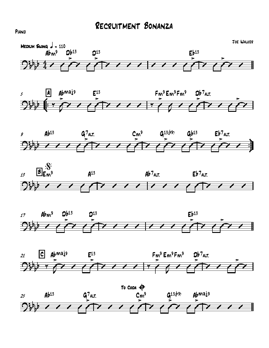













PIANO